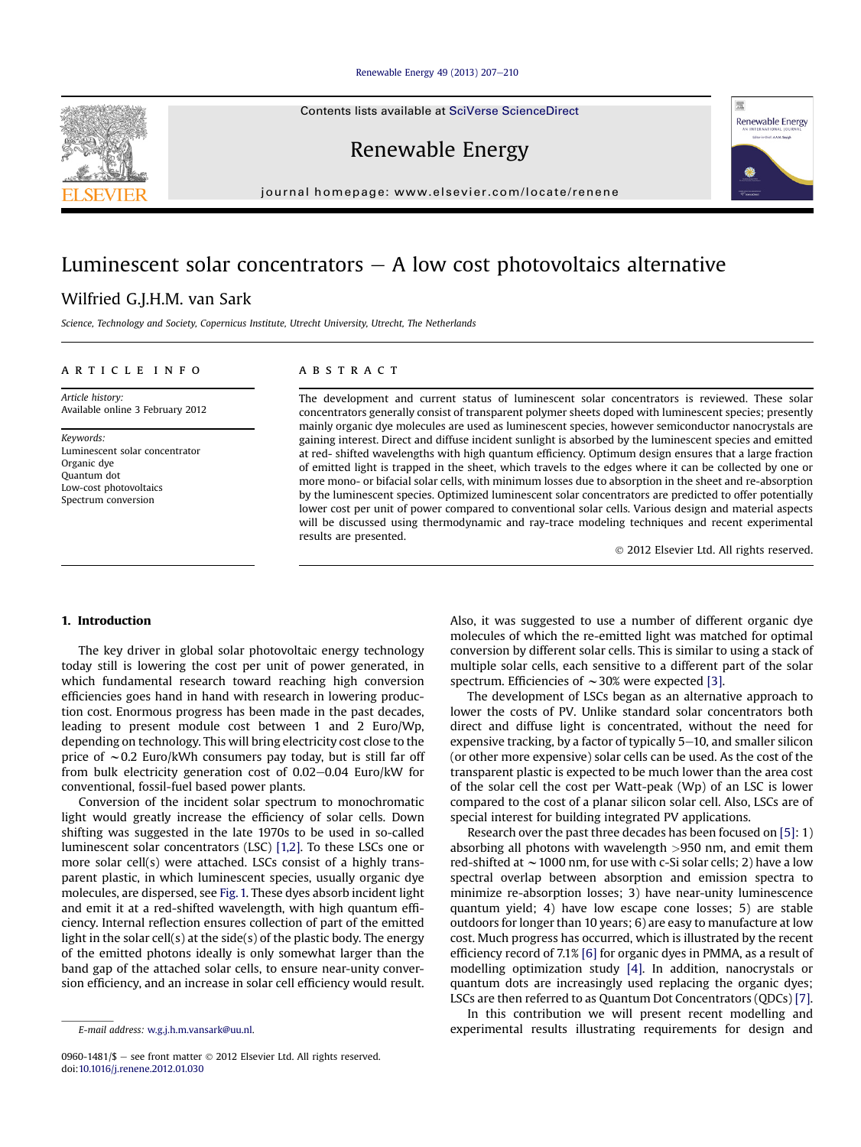#### [Renewable Energy 49 \(2013\) 207](http://dx.doi.org/10.1016/j.renene.2012.01.030)-[210](http://dx.doi.org/10.1016/j.renene.2012.01.030)

Contents lists available at SciVerse ScienceDirect

Renewable Energy

journal homepage: [www.elsevier.com/locate/renene](http://www.elsevier.com/locate/renene)

# Luminescent solar concentrators  $-$  A low cost photovoltaics alternative

## Wilfried G.J.H.M. van Sark

Science, Technology and Society, Copernicus Institute, Utrecht University, Utrecht, The Netherlands

#### article info

Article history: Available online 3 February 2012

Keywords: Luminescent solar concentrator Organic dye Quantum dot Low-cost photovoltaics Spectrum conversion

#### **ABSTRACT**

The development and current status of luminescent solar concentrators is reviewed. These solar concentrators generally consist of transparent polymer sheets doped with luminescent species; presently mainly organic dye molecules are used as luminescent species, however semiconductor nanocrystals are gaining interest. Direct and diffuse incident sunlight is absorbed by the luminescent species and emitted at red- shifted wavelengths with high quantum efficiency. Optimum design ensures that a large fraction of emitted light is trapped in the sheet, which travels to the edges where it can be collected by one or more mono- or bifacial solar cells, with minimum losses due to absorption in the sheet and re-absorption by the luminescent species. Optimized luminescent solar concentrators are predicted to offer potentially lower cost per unit of power compared to conventional solar cells. Various design and material aspects will be discussed using thermodynamic and ray-trace modeling techniques and recent experimental results are presented.

2012 Elsevier Ltd. All rights reserved.

#### 1. Introduction

The key driver in global solar photovoltaic energy technology today still is lowering the cost per unit of power generated, in which fundamental research toward reaching high conversion efficiencies goes hand in hand with research in lowering production cost. Enormous progress has been made in the past decades, leading to present module cost between 1 and 2 Euro/Wp, depending on technology. This will bring electricity cost close to the price of  $\sim$  0.2 Euro/kWh consumers pay today, but is still far off from bulk electricity generation cost of  $0.02-0.04$  Euro/kW for conventional, fossil-fuel based power plants.

Conversion of the incident solar spectrum to monochromatic light would greatly increase the efficiency of solar cells. Down shifting was suggested in the late 1970s to be used in so-called luminescent solar concentrators (LSC) [\[1,2\].](#page-3-0) To these LSCs one or more solar cell(s) were attached. LSCs consist of a highly transparent plastic, in which luminescent species, usually organic dye molecules, are dispersed, see [Fig. 1.](#page-1-0) These dyes absorb incident light and emit it at a red-shifted wavelength, with high quantum efficiency. Internal reflection ensures collection of part of the emitted light in the solar cell(s) at the side(s) of the plastic body. The energy of the emitted photons ideally is only somewhat larger than the band gap of the attached solar cells, to ensure near-unity conversion efficiency, and an increase in solar cell efficiency would result.

0960-1481/\$ - see front matter  $\odot$  2012 Elsevier Ltd. All rights reserved. doi[:10.1016/j.renene.2012.01.030](http://dx.doi.org/10.1016/j.renene.2012.01.030)

Also, it was suggested to use a number of different organic dye molecules of which the re-emitted light was matched for optimal conversion by different solar cells. This is similar to using a stack of multiple solar cells, each sensitive to a different part of the solar spectrum. Efficiencies of  $\sim$  30% were expected [\[3\].](#page-3-0)

The development of LSCs began as an alternative approach to lower the costs of PV. Unlike standard solar concentrators both direct and diffuse light is concentrated, without the need for expensive tracking, by a factor of typically  $5-10$ , and smaller silicon (or other more expensive) solar cells can be used. As the cost of the transparent plastic is expected to be much lower than the area cost of the solar cell the cost per Watt-peak (Wp) of an LSC is lower compared to the cost of a planar silicon solar cell. Also, LSCs are of special interest for building integrated PV applications.

Research over the past three decades has been focused on [\[5\]](#page-3-0): 1) absorbing all photons with wavelength >950 nm, and emit them red-shifted at  $\sim$  1000 nm, for use with c-Si solar cells; 2) have a low spectral overlap between absorption and emission spectra to minimize re-absorption losses; 3) have near-unity luminescence quantum yield; 4) have low escape cone losses; 5) are stable outdoors for longer than 10 years; 6) are easy to manufacture at low cost. Much progress has occurred, which is illustrated by the recent efficiency record of 7.1% [\[6\]](#page-3-0) for organic dyes in PMMA, as a result of modelling optimization study [\[4\]](#page-3-0). In addition, nanocrystals or quantum dots are increasingly used replacing the organic dyes; LSCs are then referred to as Quantum Dot Concentrators (QDCs) [\[7\].](#page-3-0)

In this contribution we will present recent modelling and E-mail address: [w.g.j.h.m.vansark@uu.nl.](mailto:w.g.j.h.m.vansark@uu.nl) experimental results illustrating requirements for design and



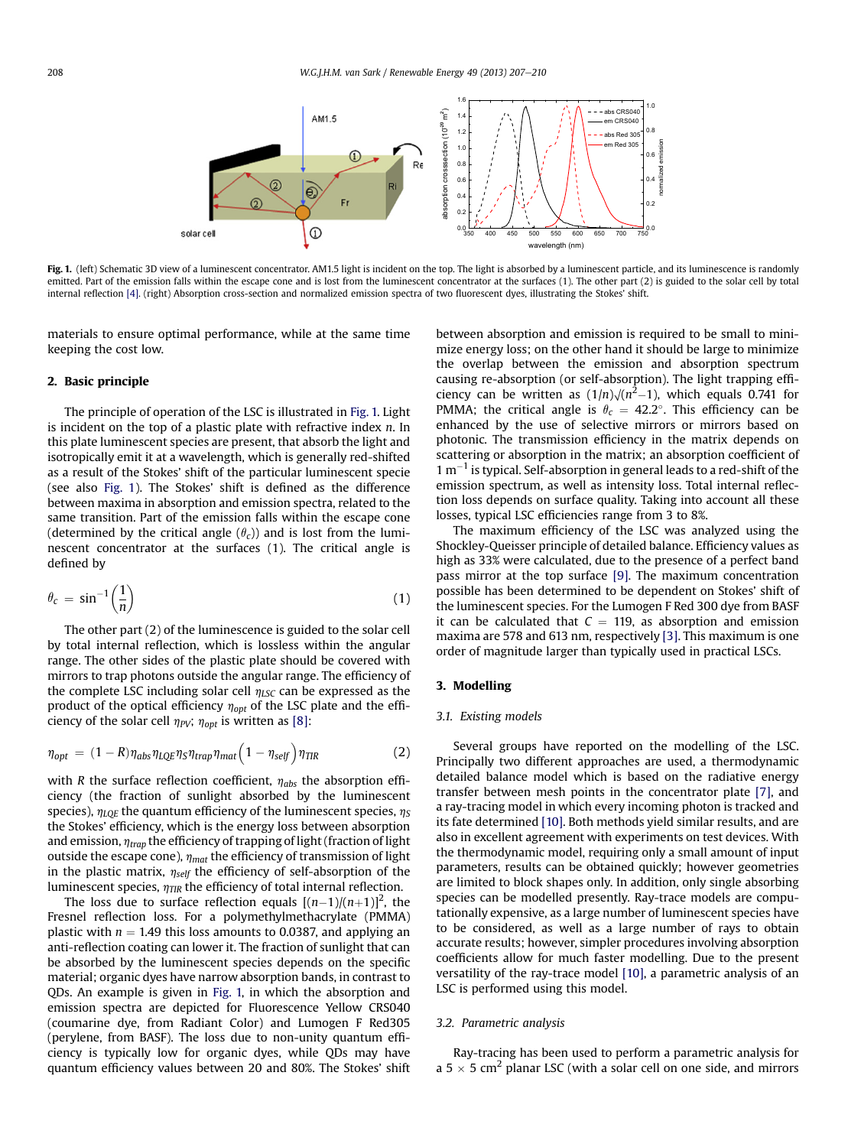<span id="page-1-0"></span>

Fig. 1. (left) Schematic 3D view of a luminescent concentrator. AM1.5 light is incident on the top. The light is absorbed by a luminescent particle, and its luminescence is randomly emitted. Part of the emission falls within the escape cone and is lost from the luminescent concentrator at the surfaces (1). The other part (2) is guided to the solar cell by total internal reflection [\[4\].](#page-3-0) (right) Absorption cross-section and normalized emission spectra of two fluorescent dyes, illustrating the Stokes' shift.

materials to ensure optimal performance, while at the same time keeping the cost low.

#### 2. Basic principle

The principle of operation of the LSC is illustrated in Fig. 1. Light is incident on the top of a plastic plate with refractive index  $n$ . In this plate luminescent species are present, that absorb the light and isotropically emit it at a wavelength, which is generally red-shifted as a result of the Stokes' shift of the particular luminescent specie (see also Fig. 1). The Stokes' shift is defined as the difference between maxima in absorption and emission spectra, related to the same transition. Part of the emission falls within the escape cone (determined by the critical angle  $(\theta_c)$ ) and is lost from the luminescent concentrator at the surfaces (1). The critical angle is defined by

$$
\theta_c = \sin^{-1}\left(\frac{1}{n}\right) \tag{1}
$$

The other part (2) of the luminescence is guided to the solar cell by total internal reflection, which is lossless within the angular range. The other sides of the plastic plate should be covered with mirrors to trap photons outside the angular range. The efficiency of the complete LSC including solar cell  $\eta_{LSC}$  can be expressed as the product of the optical efficiency  $\eta_{opt}$  of the LSC plate and the efficiency of the solar cell  $\eta_{PV}$ ;  $\eta_{opt}$  is written as [\[8\]](#page-3-0):

$$
\eta_{opt} = (1 - R)\eta_{abs}\eta_{LQE}\eta_{S}\eta_{trap}\eta_{mat}\left(1 - \eta_{self}\right)\eta_{TIR} \tag{2}
$$

with R the surface reflection coefficient,  $\eta_{abs}$  the absorption efficiency (the fraction of sunlight absorbed by the luminescent species),  $\eta_{LQE}$  the quantum efficiency of the luminescent species,  $\eta_S$ the Stokes' efficiency, which is the energy loss between absorption and emission,  $\eta_{trap}$  the efficiency of trapping of light (fraction of light outside the escape cone),  $\eta_{mat}$  the efficiency of transmission of light in the plastic matrix,  $\eta_{self}$  the efficiency of self-absorption of the luminescent species,  $\eta_{\text{TIR}}$  the efficiency of total internal reflection.

The loss due to surface reflection equals  $[(n-1)/(n+1)]^2$ , the Fresnel reflection loss. For a polymethylmethacrylate (PMMA) plastic with  $n = 1.49$  this loss amounts to 0.0387, and applying an anti-reflection coating can lower it. The fraction of sunlight that can be absorbed by the luminescent species depends on the specific material; organic dyes have narrow absorption bands, in contrast to QDs. An example is given in Fig. 1, in which the absorption and emission spectra are depicted for Fluorescence Yellow CRS040 (coumarine dye, from Radiant Color) and Lumogen F Red305 (perylene, from BASF). The loss due to non-unity quantum efficiency is typically low for organic dyes, while QDs may have quantum efficiency values between 20 and 80%. The Stokes' shift between absorption and emission is required to be small to minimize energy loss; on the other hand it should be large to minimize the overlap between the emission and absorption spectrum causing re-absorption (or self-absorption). The light trapping efficiency can be written as  $(1/n)\sqrt{(n^2-1)}$ , which equals 0.741 for PMMA; the critical angle is  $\theta_c = 42.2^\circ$ . This efficiency can be enhanced by the use of selective mirrors or mirrors based on photonic. The transmission efficiency in the matrix depends on scattering or absorption in the matrix; an absorption coefficient of  $1 \text{ m}^{-1}$  is typical. Self-absorption in general leads to a red-shift of the emission spectrum, as well as intensity loss. Total internal reflection loss depends on surface quality. Taking into account all these losses, typical LSC efficiencies range from 3 to 8%.

The maximum efficiency of the LSC was analyzed using the Shockley-Queisser principle of detailed balance. Efficiency values as high as 33% were calculated, due to the presence of a perfect band pass mirror at the top surface [\[9\].](#page-3-0) The maximum concentration possible has been determined to be dependent on Stokes' shift of the luminescent species. For the Lumogen F Red 300 dye from BASF it can be calculated that  $C = 119$ , as absorption and emission maxima are 578 and 613 nm, respectively [\[3\]](#page-3-0). This maximum is one order of magnitude larger than typically used in practical LSCs.

#### 3. Modelling

#### 3.1. Existing models

Several groups have reported on the modelling of the LSC. Principally two different approaches are used, a thermodynamic detailed balance model which is based on the radiative energy transfer between mesh points in the concentrator plate [\[7\]](#page-3-0), and a ray-tracing model in which every incoming photon is tracked and its fate determined [\[10\].](#page-3-0) Both methods yield similar results, and are also in excellent agreement with experiments on test devices. With the thermodynamic model, requiring only a small amount of input parameters, results can be obtained quickly; however geometries are limited to block shapes only. In addition, only single absorbing species can be modelled presently. Ray-trace models are computationally expensive, as a large number of luminescent species have to be considered, as well as a large number of rays to obtain accurate results; however, simpler procedures involving absorption coefficients allow for much faster modelling. Due to the present versatility of the ray-trace model [\[10\]](#page-3-0), a parametric analysis of an LSC is performed using this model.

#### 3.2. Parametric analysis

Ray-tracing has been used to perform a parametric analysis for a 5  $\times$  5 cm<sup>2</sup> planar LSC (with a solar cell on one side, and mirrors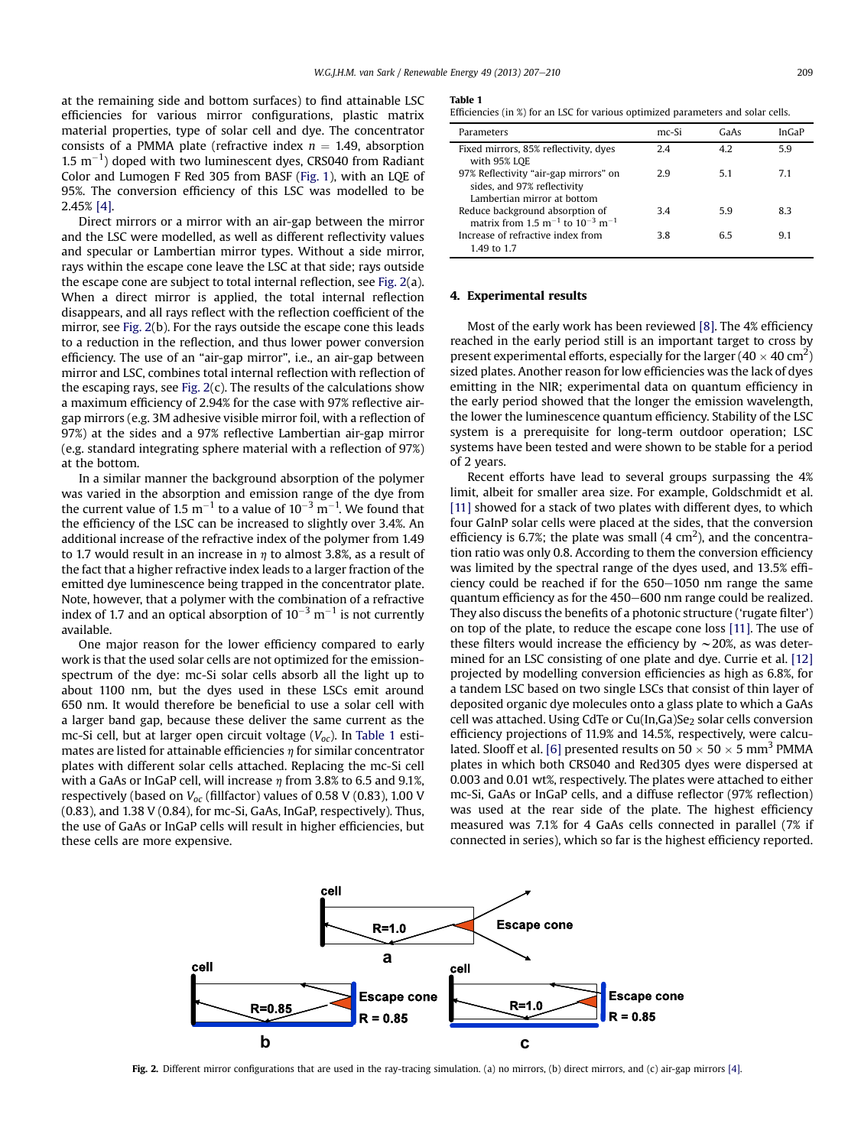at the remaining side and bottom surfaces) to find attainable LSC efficiencies for various mirror configurations, plastic matrix material properties, type of solar cell and dye. The concentrator consists of a PMMA plate (refractive index  $n = 1.49$ , absorption  $1.5 \text{ m}^{-1}$ ) doped with two luminescent dyes, CRS040 from Radiant Color and Lumogen F Red 305 from BASF ([Fig. 1](#page-1-0)), with an LQE of 95%. The conversion efficiency of this LSC was modelled to be 2.45% [\[4\]](#page-3-0).

Direct mirrors or a mirror with an air-gap between the mirror and the LSC were modelled, as well as different reflectivity values and specular or Lambertian mirror types. Without a side mirror, rays within the escape cone leave the LSC at that side; rays outside the escape cone are subject to total internal reflection, see Fig. 2(a). When a direct mirror is applied, the total internal reflection disappears, and all rays reflect with the reflection coefficient of the mirror, see Fig. 2(b). For the rays outside the escape cone this leads to a reduction in the reflection, and thus lower power conversion efficiency. The use of an "air-gap mirror", i.e., an air-gap between mirror and LSC, combines total internal reflection with reflection of the escaping rays, see Fig.  $2(c)$ . The results of the calculations show a maximum efficiency of 2.94% for the case with 97% reflective airgap mirrors (e.g. 3M adhesive visible mirror foil, with a reflection of 97%) at the sides and a 97% reflective Lambertian air-gap mirror (e.g. standard integrating sphere material with a reflection of 97%) at the bottom.

In a similar manner the background absorption of the polymer was varied in the absorption and emission range of the dye from the current value of 1.5  $\mathrm{m}^{-1}$  to a value of 10<sup>-3</sup>  $\mathrm{m}^{-1}$ . We found that the efficiency of the LSC can be increased to slightly over 3.4%. An additional increase of the refractive index of the polymer from 1.49 to 1.7 would result in an increase in  $\eta$  to almost 3.8%, as a result of the fact that a higher refractive index leads to a larger fraction of the emitted dye luminescence being trapped in the concentrator plate. Note, however, that a polymer with the combination of a refractive index of 1.7 and an optical absorption of 10<sup>–3</sup> m<sup>–1</sup> is not currently available.

One major reason for the lower efficiency compared to early work is that the used solar cells are not optimized for the emissionspectrum of the dye: mc-Si solar cells absorb all the light up to about 1100 nm, but the dyes used in these LSCs emit around 650 nm. It would therefore be beneficial to use a solar cell with a larger band gap, because these deliver the same current as the mc-Si cell, but at larger open circuit voltage  $(V_{oc})$ . In Table 1 estimates are listed for attainable efficiencies  $\eta$  for similar concentrator plates with different solar cells attached. Replacing the mc-Si cell with a GaAs or InGaP cell, will increase  $\eta$  from 3.8% to 6.5 and 9.1%, respectively (based on  $V_{oc}$  (fillfactor) values of 0.58 V (0.83), 1.00 V (0.83), and 1.38 V (0.84), for mc-Si, GaAs, InGaP, respectively). Thus, the use of GaAs or InGaP cells will result in higher efficiencies, but these cells are more expensive.

#### Table 1

| Efficiencies (in %) for an LSC for various optimized parameters and solar cells. |  |  |  |  |  |
|----------------------------------------------------------------------------------|--|--|--|--|--|
|----------------------------------------------------------------------------------|--|--|--|--|--|

| Parameters                                                                                      | $mc-Si$ | GaAs | InGaP |
|-------------------------------------------------------------------------------------------------|---------|------|-------|
| Fixed mirrors, 85% reflectivity, dyes<br>with 95% LQE                                           | 2.4     | 4.2  | 5.9   |
| 97% Reflectivity "air-gap mirrors" on<br>sides, and 97% reflectivity                            | 29      | 51   | 71    |
| Lambertian mirror at bottom                                                                     |         |      |       |
| Reduce background absorption of<br>matrix from 1.5 m <sup>-1</sup> to $10^{-3}$ m <sup>-1</sup> | 3.4     | 59   | 8.3   |
| Increase of refractive index from<br>1.49 to 1.7                                                | 38      | 65   | 9.1   |

#### 4. Experimental results

Most of the early work has been reviewed [\[8\]](#page-3-0). The 4% efficiency reached in the early period still is an important target to cross by present experimental efforts, especially for the larger  $(40 \times 40 \text{ cm}^2)$ sized plates. Another reason for low efficiencies was the lack of dyes emitting in the NIR; experimental data on quantum efficiency in the early period showed that the longer the emission wavelength, the lower the luminescence quantum efficiency. Stability of the LSC system is a prerequisite for long-term outdoor operation; LSC systems have been tested and were shown to be stable for a period of 2 years.

Recent efforts have lead to several groups surpassing the 4% limit, albeit for smaller area size. For example, Goldschmidt et al. [\[11\]](#page-3-0) showed for a stack of two plates with different dyes, to which four GaInP solar cells were placed at the sides, that the conversion efficiency is 6.7%; the plate was small  $(4 \text{ cm}^2)$ , and the concentration ratio was only 0.8. According to them the conversion efficiency was limited by the spectral range of the dyes used, and 13.5% efficiency could be reached if for the  $650-1050$  nm range the same quantum efficiency as for the 450–600 nm range could be realized. They also discuss the benefits of a photonic structure ('rugate filter') on top of the plate, to reduce the escape cone loss [\[11\]](#page-3-0). The use of these filters would increase the efficiency by  $\sim$  20%, as was determined for an LSC consisting of one plate and dye. Currie et al. [\[12\]](#page-3-0) projected by modelling conversion efficiencies as high as 6.8%, for a tandem LSC based on two single LSCs that consist of thin layer of deposited organic dye molecules onto a glass plate to which a GaAs cell was attached. Using CdTe or Cu(In,Ga)Se<sub>2</sub> solar cells conversion efficiency projections of 11.9% and 14.5%, respectively, were calcu-lated. Slooff et al. [\[6\]](#page-3-0) presented results on  $50 \times 50 \times 5$  mm<sup>3</sup> PMMA plates in which both CRS040 and Red305 dyes were dispersed at 0.003 and 0.01 wt%, respectively. The plates were attached to either mc-Si, GaAs or InGaP cells, and a diffuse reflector (97% reflection) was used at the rear side of the plate. The highest efficiency measured was 7.1% for 4 GaAs cells connected in parallel (7% if connected in series), which so far is the highest efficiency reported.



Fig. 2. Different mirror configurations that are used in the ray-tracing simulation. (a) no mirrors, (b) direct mirrors, and (c) air-gap mirrors [\[4\]](#page-3-0).